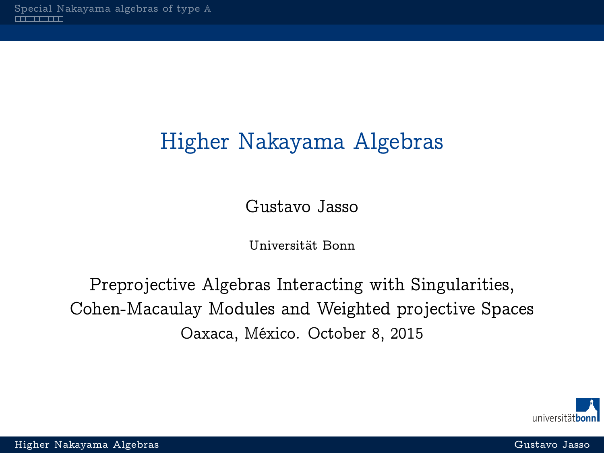## <span id="page-0-0"></span>Higher Nakayama Algebras

Gustavo Jasso

Universität Bonn

Preprojective Algebras Interacting with Singularities, Cohen-Macaulay Modules and Weighted projective Spaces Oaxaca, México. October 8, 2015

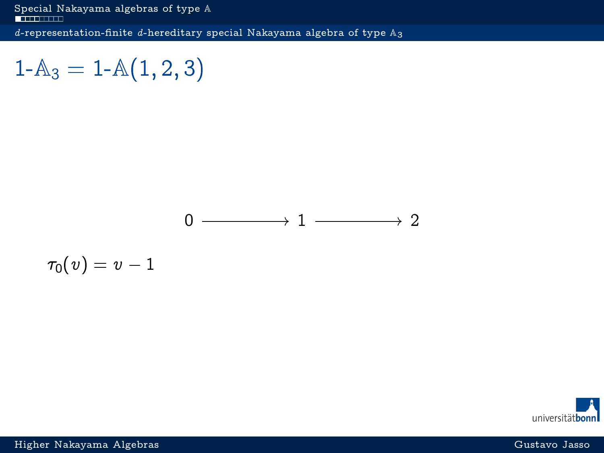<span id="page-1-0"></span>[Special Nakayama algebras of type](#page-1-0) **A** 

d-representation-finite d[-hereditary special Nakayama algebra of type](#page-1-0)  $A_3$ 

 $1-A_3 = 1-A(1,2,3)$ 



 $\tau_0(v) = v - 1$ 

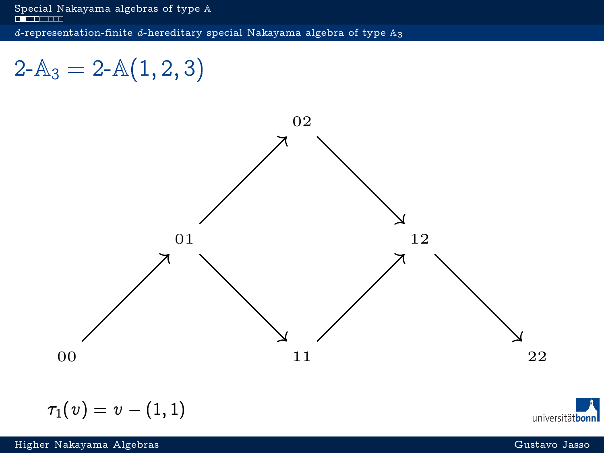<span id="page-2-0"></span>[Special Nakayama algebras of type](#page-1-0)  $\mathbb A$ 

d-representation-finite d[-hereditary special Nakayama algebra of type](#page-2-0)  $\mathbb{A}_3$ 

## $2-A_3 = 2-A(1, 2, 3)$



$$
\tau_1(v)=v-(1,1)
$$

universitätbonn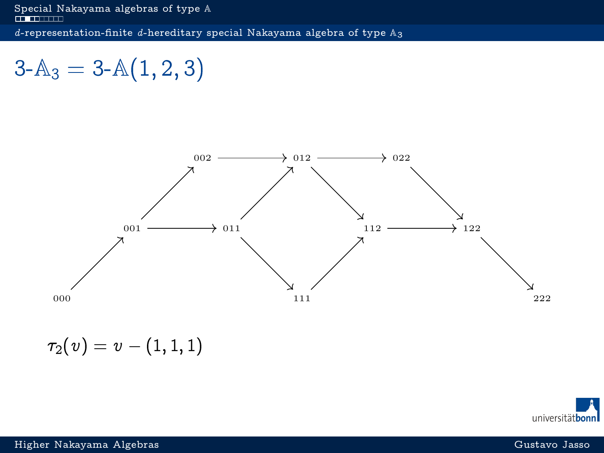<span id="page-3-0"></span>d-representation-finite d[-hereditary special Nakayama algebra of type](#page-3-0)  $\mathbb{A}_3$ 

 $3-A_3 = 3-A(1,2,3)$ 



 $\tau_2(v) = v - (1, 1, 1)$ 

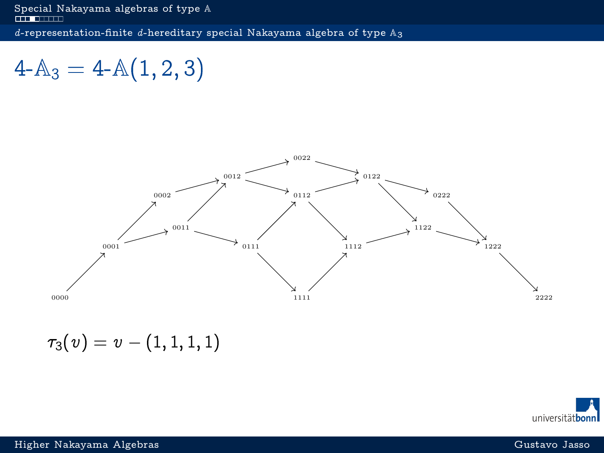<span id="page-4-0"></span>d-representation-finite d[-hereditary special Nakayama algebra of type](#page-4-0)  $\mathbb{A}_3$ 

 $4-A_3 = 4-A(1,2,3)$ 



 $\tau_3(v) = v - (1, 1, 1, 1)$ 

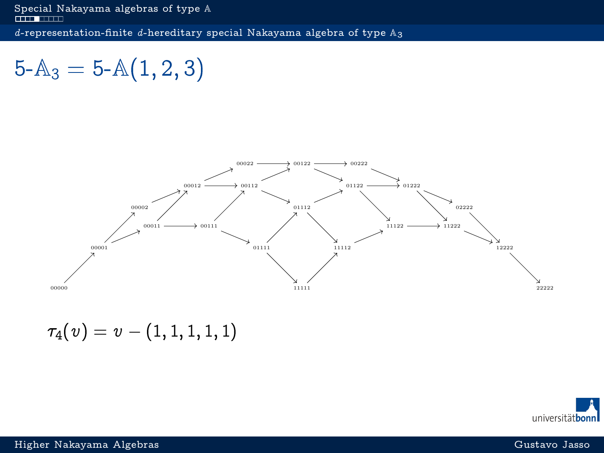<span id="page-5-0"></span>d-representation-finite d[-hereditary special Nakayama algebra of type](#page-5-0)  $\mathbb{A}_3$ 

 $5-A_3 = 5-A(1,2,3)$ 



 $\tau_4(v) = v - (1, 1, 1, 1, 1)$ 

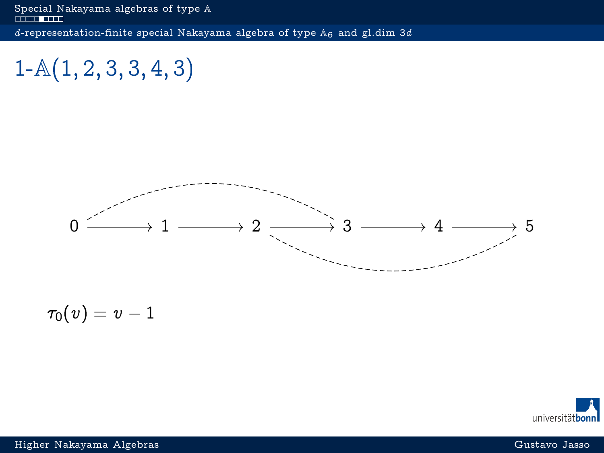<span id="page-6-0"></span> $1-A(1, 2, 3, 3, 4, 3)$ 



$$
\tau_0(v)=v-1
$$

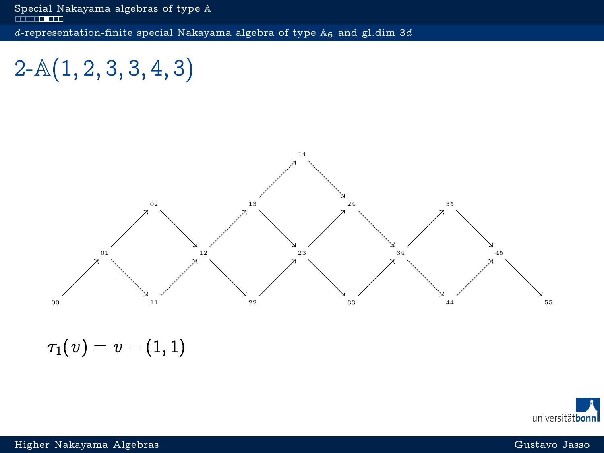<span id="page-7-0"></span> $2-A(1, 2, 3, 3, 4, 3)$ 



 $\tau_1(v) = v - (1, 1)$ 

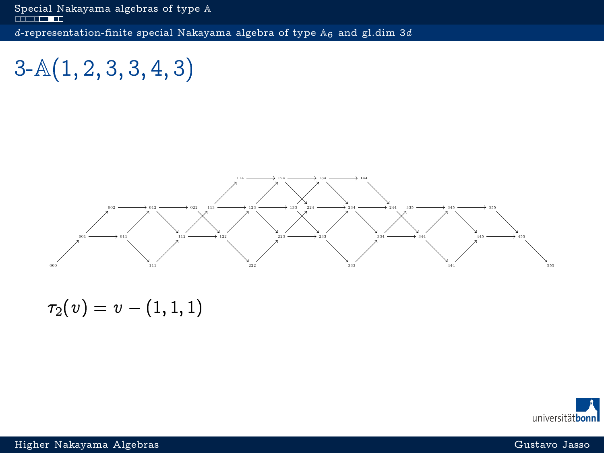<span id="page-8-0"></span> $3-A(1, 2, 3, 3, 4, 3)$ 



 $\tau_2(v) = v - (1, 1, 1)$ 

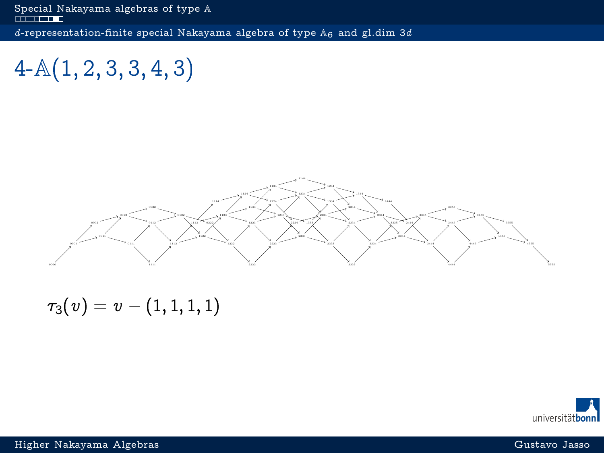<span id="page-9-0"></span>[Special Nakayama algebras of type](#page-1-0)  $\mathbb A$ d[-representation-finite special Nakayama algebra of type](#page-9-0)  $A_6$  and gl.dim 3d

 $4-A(1, 2, 3, 3, 4, 3)$ 



 $\tau_3(v) = v - (1, 1, 1, 1)$